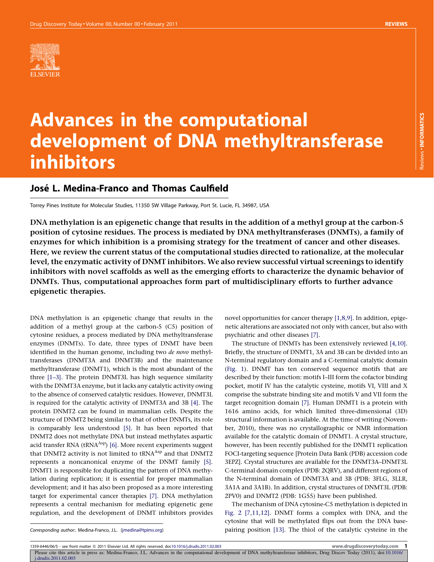

# Advances in the computational development of DNA methyltransferase inhibitors

# José L. Medina-Franco and Thomas Caulfield

Torrey Pines Institute for Molecular Studies, 11350 SW Village Parkway, Port St. Lucie, FL 34987, USA

DNA methylation is an epigenetic change that results in the addition of a methyl group at the carbon-5 position of cytosine residues. The process is mediated by DNA methyltransferases (DNMTs), a family of enzymes for which inhibition is a promising strategy for the treatment of cancer and other diseases. Here, we review the current status of the computational studies directed to rationalize, at the molecular level, the enzymatic activity of DNMT inhibitors. We also review successful virtual screenings to identify inhibitors with novel scaffolds as well as the emerging efforts to characterize the dynamic behavior of DNMTs. Thus, computational approaches form part of multidisciplinary efforts to further advance epigenetic therapies.

DNA methylation is an epigenetic change that results in the addition of a methyl group at the carbon-5 (C5) position of cytosine residues, a process mediated by DNA methyltransferase enzymes (DNMTs). To date, three types of DNMT have been identified in the human genome, including two de novo methyltransferases (DNMT3A and DNMT3B) and the maintenance methyltransferase (DNMT1), which is the most abundant of the three [\[1–3\]](#page-6-0). The protein DNMT3L has high sequence similarity with the DNMT3A enzyme, but it lacks any catalytic activity owing to the absence of conserved catalytic residues. However, DNMT3L is required for the catalytic activity of DNMT3A and 3B [\[4\].](#page-6-0) The protein DNMT2 can be found in mammalian cells. Despite the structure of DNMT2 being similar to that of other DNMTs, its role is comparably less understood [\[5\].](#page-6-0) It has been reported that DNMT2 does not methylate DNA but instead methylates aspartic acid transfer RNA ( $t\text{RNA}^{\text{Asp}}$ ) [\[6\]](#page-6-0). More recent experiments suggest that DNMT2 activity is not limited to tRNA<sup>Asp</sup> and that DNMT2 represents a noncanonical enzyme of the DNMT family [\[5\].](#page-6-0) DNMT1 is responsible for duplicating the pattern of DNA methylation during replication; it is essential for proper mammalian development; and it has also been proposed as a more interesting target for experimental cancer therapies [\[7\].](#page-6-0) DNA methylation represents a central mechanism for mediating epigenetic gene regulation, and the development of DNMT inhibitors provides

novel opportunities for cancer therapy [\[1,8,9\].](#page-6-0) In addition, epigenetic alterations are associated not only with cancer, but also with psychiatric and other diseases [\[7\].](#page-6-0)

The structure of DNMTs has been extensively reviewed [\[4,10\].](#page-6-0) Briefly, the structure of DNMT1, 3A and 3B can be divided into an N-terminal regulatory domain and a C-terminal catalytic domain [\(Fig. 1\)](#page-1-0). DNMT has ten conserved sequence motifs that are described by their function: motifs I–III form the cofactor binding pocket, motif IV has the catalytic cysteine, motifs VI, VIII and X comprise the substrate binding site and motifs V and VII form the target recognition domain [\[7\]](#page-6-0). Human DNMT1 is a protein with 1616 amino acids, for which limited three-dimensional (3D) structural information is available. At the time of writing (November, 2010), there was no crystallographic or NMR information available for the catalytic domain of DNMT1. A crystal structure, however, has been recently published for the DNMT1 replication FOCI-targeting sequence [Protein Data Bank (PDB) accession code 3EPZ]. Crystal structures are available for the DNMT3A–DNMT3L C-terminal domain complex (PDB: 2QRV), and different regions of the N-terminal domain of DNMT3A and 3B (PDB: 3FLG, 3LLR, 3A1A and 3A1B). In addition, crystal structures of DNMT3L (PDB: 2PV0) and DNMT2 (PDB: 1G55) have been published.

The mechanism of DNA cytosine-C5 methylation is depicted in [Fig. 2](#page-1-0) [\[7,11,12\].](#page-6-0) DNMT forms a complex with DNA, and the cytosine that will be methylated flips out from the DNA basepairing position [\[13\]](#page-6-0). The thiol of the catalytic cysteine in the

Corresponding author:. Medina-Franco, J.L. [\(jmedina@tpims.org\)](mailto:jmedina@tpims.org)

1359-6446/06/\$ - see front matter © 2011 Elsevier Ltd. All rights reserved. doi:[10.1016/j.drudis.2011.02.003](http://dx.doi.org/10.1016/j.drudis.2011.02.003) www.drugdiscoverytoday.com 1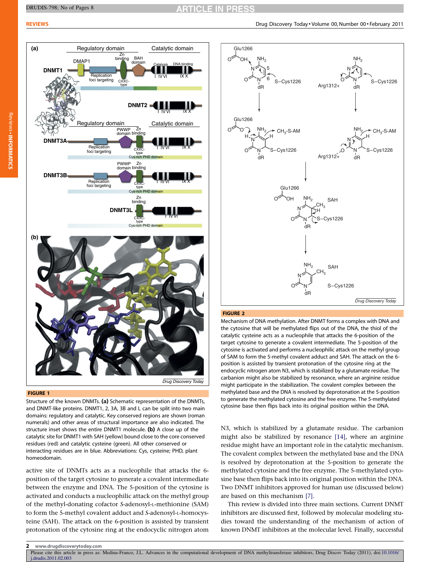# **RTICLE IN PRESS**

<span id="page-1-0"></span>

#### FIGURE 1

Structure of the known DNMTs. (a) Schematic representation of the DNMTs, and DNMT-like proteins. DNMT1, 2, 3A, 3B and L can be split into two main domains: regulatory and catalytic. Key conserved regions are shown (roman numerals) and other areas of structural importance are also indicated. The structure inset shows the entire DNMT1 molecule. (b) A close up of the catalytic site for DNMT1 with SAH (yellow) bound close to the core conserved residues (red) and catalytic cysteine (green). All other conserved or interacting residues are in blue. Abbreviations: Cys, cysteine; PHD, plant homeodomain.

active site of DNMTs acts as a nucleophile that attacks the 6 position of the target cytosine to generate a covalent intermediate between the enzyme and DNA. The 5-position of the cytosine is activated and conducts a nucleophilic attack on the methyl group of the methyl-donating cofactor S-adenosyl-L-methionine (SAM) to form the 5-methyl covalent adduct and S-adenosyl-L-homocysteine (SAH). The attack on the 6-position is assisted by transient protonation of the cytosine ring at the endocyclic nitrogen atom



#### FIGURE 2

Mechanism of DNA methylation. After DNMT forms a complex with DNA and the cytosine that will be methylated flips out of the DNA, the thiol of the catalytic cysteine acts as a nucleophile that attacks the 6-position of the target cytosine to generate a covalent intermediate. The 5-position of the cytosine is activated and performs a nucleophilic attack on the methyl group of SAM to form the 5-methyl covalent adduct and SAH. The attack on the 6 position is assisted by transient protonation of the cytosine ring at the endocyclic nitrogen atom N3, which is stabilized by a glutamate residue. The carbanion might also be stabilized by resonance, where an arginine residue might participate in the stabilization. The covalent complex between the methylated base and the DNA is resolved by deprotonation at the 5-position to generate the methylated cytosine and the free enzyme. The 5-methylated cytosine base then flips back into its original position within the DNA.

N3, which is stabilized by a glutamate residue. The carbanion might also be stabilized by resonance [\[14\],](#page-6-0) where an arginine residue might have an important role in the catalytic mechanism. The covalent complex between the methylated base and the DNA is resolved by deprotonation at the 5-position to generate the methylated cytosine and the free enzyme. The 5-methylated cytosine base then flips back into its original position within the DNA. Two DNMT inhibitors approved for human use (discussed below) are based on this mechanism [\[7\].](#page-6-0)

This review is divided into three main sections. Current DNMT inhibitors are discussed first, followed by molecular modeling studies toward the understanding of the mechanism of action of known DNMT inhibitors at the molecular level. Finally, successful

<sup>2</sup> www.drugdiscoverytoday.com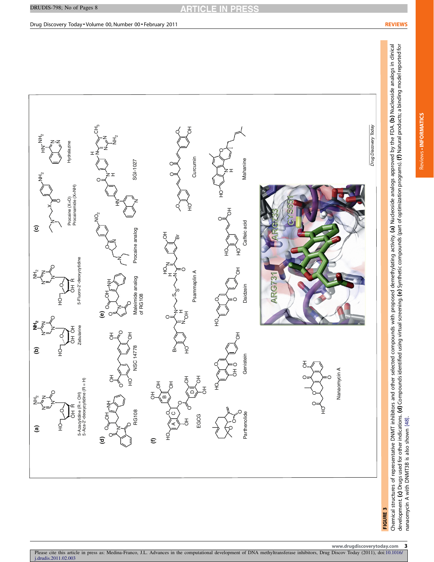<span id="page-2-0"></span>

nanaomycin A with DNMT3B is also shown [48]. with DNMT3B is also shown [\[48\]](#page-7-0).

Reviews -

INFORMATICS

Reviews . INFORMATICS

nanaomycin

www.drugdiscoverytoday.com 3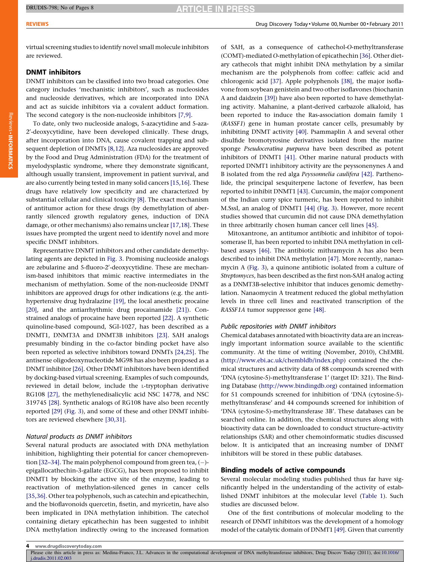virtual screening studies to identify novel small molecule inhibitors are reviewed.

# DNMT inhibitors

DNMT inhibitors can be classified into two broad categories. One category includes 'mechanistic inhibitors', such as nucleosides and nucleoside derivatives, which are incorporated into DNA and act as suicide inhibitors via a covalent adduct formation. The second category is the non-nucleoside inhibitors [\[7,9\].](#page-6-0)

To date, only two nucleoside analogs, 5-azacytidine and 5-aza-2'-deoxycytidine, have been developed clinically. These drugs, after incorporation into DNA, cause covalent trapping and subsequent depletion of DNMTs [\[8,12\]](#page-6-0). Aza nucleosides are approved by the Food and Drug Administration (FDA) for the treatment of myelodysplastic syndrome, where they demonstrate significant, although usually transient, improvement in patient survival, and are also currently being tested in many solid cancers [\[15,16\].](#page-6-0) These drugs have relatively low specificity and are characterized by substantial cellular and clinical toxicity [\[8\]](#page-6-0). The exact mechanism of antitumor action for these drugs (by demethylation of aberrantly silenced growth regulatory genes, induction of DNA damage, or other mechanisms) also remains unclear [\[17,18\].](#page-6-0) These issues have prompted the urgent need to identify novel and more specific DNMT inhibitors.

Representative DNMT inhibitors and other candidate demethylating agents are depicted in [Fig. 3.](#page-2-0) Promising nucleoside analogs are zebularine and 5-fluoro-2'-deoxycytidine. These are mechanism-based inhibitors that mimic reactive intermediates in the mechanism of methylation. Some of the non-nucleoside DNMT inhibitors are approved drugs for other indications (e.g. the antihypertensive drug hydralazine [\[19\]](#page-6-0), the local anesthetic procaine [\[20\]](#page-7-0), and the antiarrhythmic drug procainamide [\[21\]](#page-7-0)). Constrained analogs of procaine have been reported [\[22\].](#page-7-0) A synthetic quinoline-based compound, SGI-1027, has been described as a DNMT1, DNMT3A and DNMT3B inhibitors [\[23\].](#page-7-0) SAH analogs presumably binding in the co-factor binding pocket have also been reported as selective inhibitors toward DNMTs [\[24,25\].](#page-7-0) The antisense oligodeoxynucleotide MG98 has also been proposed as a DNMT inhibitor [\[26\].](#page-7-0) Other DNMT inhibitors have been identified by docking-based virtual screening. Examples of such compounds, reviewed in detail below, include the L-tryptophan derivative RG108 [\[27\]](#page-7-0), the methylenedisalicylic acid NSC 14778, and NSC 319745 [\[28\].](#page-7-0) Synthetic analogs of RG108 have also been recently reported [\[29\]](#page-7-0) ([Fig. 3](#page-2-0)), and some of these and other DNMT inhibitors are reviewed elsewhere [\[30,31\]](#page-7-0).

# Natural products as DNMT inhibitors

Several natural products are associated with DNA methylation inhibition, highlighting their potential for cancer chemoprevention [32-34]. The main polyphenol compound from green tea,  $(-)$ epigallocathechin-3-gallate (EGCG), has been proposed to inhibit DNMT1 by blocking the active site of the enzyme, leading to reactivation of methylation-silenced genes in cancer cells [\[35,36\]](#page-7-0). Other tea polyphenols, such as catechin and epicathechin, and the bioflavonoids quercetin, fisetin, and myricetin, have also been implicated in DNA methylation inhibition. The catechol containing dietary epicathechin has been suggested to inhibit DNA methylation indirectly owing to the increased formation

of SAH, as a consequence of cathechol-O-methyltransferase (COMT)-mediated O-methylation of epicathechin [\[36\]](#page-7-0). Other dietary cathecols that might inhibit DNA methylation by a similar mechanism are the polyphenols from coffee: caffeic acid and chlorogenic acid [\[37\]](#page-7-0). Apple polyphenols [\[38\]](#page-7-0), the major isoflavone from soybean genistein and two other isoflavones (biochanin A and daidzein [\[39\]\)](#page-7-0) have also been reported to have demethylating activity. Mahanine, a plant-derived carbazole alkaloid, has been reported to induce the Ras-association domain family 1 (RASSF1) gene in human prostate cancer cells, presumably by inhibiting DNMT activity [\[40\]](#page-7-0). Psammaplin A and several other disulfide bromotyrosine derivatives isolated from the marine sponge Pseudoceratina purpurea have been described as potent inhibitors of DNMT1 [\[41\].](#page-7-0) Other marine natural products with reported DNMT1 inhibitory activity are the peyssonenynes A and B isolated from the red alga Peyssonnelia caulifera [\[42\].](#page-7-0) Parthenolide, the principal sesquiterpene lactone of feverfew, has been reported to inhibit DNMT1 [\[43\].](#page-7-0) Curcumin, the major component of the Indian curry spice turmeric, has been reported to inhibit M.SssI, an analog of DNMT1 [\[44\]](#page-7-0) ([Fig. 3\)](#page-2-0). However, more recent studies showed that curcumin did not cause DNA demethylation in three arbitrarily chosen human cancer cell lines [\[45\]](#page-7-0).

Mitoxantrone, an antitumor antibiotic and inhibitor of topoisomerase II, has been reported to inhibit DNA methylation in cellbased assays [\[46\].](#page-7-0) The antibiotic mithramycin A has also been described to inhibit DNA methylation [\[47\]](#page-7-0). More recently, nanaomycin A ([Fig. 3\)](#page-2-0), a quinone antibiotic isolated from a culture of Streptomyces, has been described as the first non-SAH analog acting as a DNMT3B-selective inhibitor that induces genomic demethylation. Nanaomycin A treatment reduced the global methylation levels in three cell lines and reactivated transcription of the RASSF1A tumor suppressor gene [\[48\].](#page-7-0)

# Public repositories with DNMT inhibitors

Chemical databases annotated with bioactivity data are an increasingly important information source available to the scientific community. At the time of writing (November, 2010), ChEMBL (<http://www.ebi.ac.uk/chembldb/index.php>) contained the chemical structures and activity data of 88 compounds screened with 'DNA (cytosine-5)-methyltransferase 1' (target ID: 321). The Binding Database [\(http://www.bindingdb.org](http://www.bindingdb.org/)) contained information for 51 compounds screened for inhibition of 'DNA (cytosine-5) methyltransferase' and 44 compounds screened for inhibition of 'DNA (cytosine-5)-methyltransferase 3B'. These databases can be searched online. In addition, the chemical structures along with bioactivity data can be downloaded to conduct structure–activity relationships (SAR) and other chemoinformatic studies discussed below. It is anticipated that an increasing number of DNMT inhibitors will be stored in these public databases.

#### Binding models of active compounds

Several molecular modeling studies published thus far have significantly helped in the understanding of the activity of established DNMT inhibitors at the molecular level ([Table 1](#page-4-0)). Such studies are discussed below.

One of the first contributions of molecular modeling to the research of DNMT inhibitors was the development of a homology model of the catalytic domain of DNMT1 [\[49\].](#page-7-0) Given that currently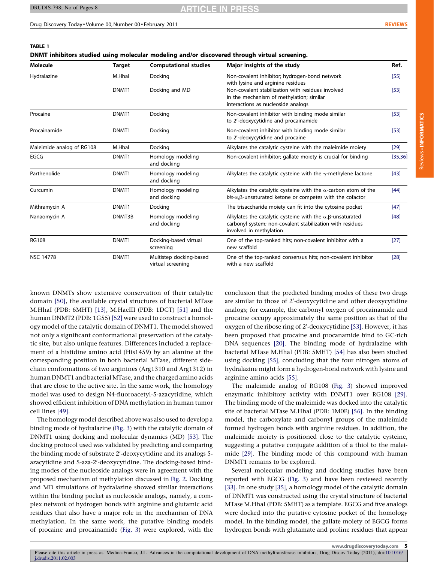TABLE 1

**ARTICLE IN PRES** 

<span id="page-4-0"></span>Drug Discovery Today • Volume 00, Number 00 • February 2011 Reviews And The Communication of the Communication of the Communication of the Communication of the Communication of the Communication of the Communication of the

Reviews -

INFORMATICS

Reviews . INFORMATICS

| DNMT inhibitors studied using molecular modeling and/or discovered through virtual screening. |                   |                                              |                                                                                                                                                                   |          |
|-----------------------------------------------------------------------------------------------|-------------------|----------------------------------------------|-------------------------------------------------------------------------------------------------------------------------------------------------------------------|----------|
| <b>Molecule</b>                                                                               | <b>Target</b>     | <b>Computational studies</b>                 | Major insights of the study                                                                                                                                       | Ref.     |
| Hydralazine                                                                                   | M.Hhal            | Docking                                      | Non-covalent inhibitor; hydrogen-bond network<br>with lysine and arginine residues                                                                                | [55]     |
|                                                                                               | DNMT1             | Docking and MD                               | Non-covalent stabilization with residues involved<br>in the mechanism of methylation; similar<br>interactions as nucleoside analogs                               | $[53]$   |
| Procaine                                                                                      | DNMT1             | Docking                                      | Non-covalent inhibitor with binding mode similar<br>to 2'-deoxycytidine and procainamide                                                                          | $[53]$   |
| Procainamide                                                                                  | DNMT1             | Docking                                      | Non-covalent inhibitor with binding mode similar<br>to 2'-deoxycytidine and procaine                                                                              | $[53]$   |
| Maleimide analog of RG108                                                                     | M.Hhal            | Docking                                      | Alkylates the catalytic cysteine with the maleimide moiety                                                                                                        | $[29]$   |
| EGCG                                                                                          | DNMT1             | Homology modeling<br>and docking             | Non-covalent inhibitor; gallate moiety is crucial for binding                                                                                                     | [35, 36] |
| Parthenolide                                                                                  | DNMT1             | Homology modeling<br>and docking             | Alkylates the catalytic cysteine with the $\gamma$ -methylene lactone                                                                                             | $[43]$   |
| Curcumin                                                                                      | DNMT1             | Homology modeling<br>and docking             | Alkylates the catalytic cysteine with the $\alpha$ -carbon atom of the<br>$bis$ - $\alpha$ , $\beta$ -unsaturated ketone or competes with the cofactor            | $[44]$   |
| Mithramycin A                                                                                 | DNMT1             | Docking                                      | The trisaccharide moiety can fit into the cytosine pocket                                                                                                         | $[47]$   |
| Nanaomycin A                                                                                  | DNMT3B            | Homology modeling<br>and docking             | Alkylates the catalytic cysteine with the $\alpha$ , $\beta$ -unsaturated<br>carbonyl system; non-covalent stabilization with residues<br>involved in methylation | [48]     |
| <b>RG108</b>                                                                                  | DNMT <sub>1</sub> | Docking-based virtual<br>screening           | One of the top-ranked hits; non-covalent inhibitor with a<br>new scaffold                                                                                         | $[27]$   |
| <b>NSC 14778</b>                                                                              | DNMT <sub>1</sub> | Multistep docking-based<br>virtual screening | One of the top-ranked consensus hits; non-covalent inhibitor<br>with a new scaffold                                                                               | [28]     |

known DNMTs show extensive conservation of their catalytic domain [\[50\],](#page-7-0) the available crystal structures of bacterial MTase M.HhaI (PDB: 6MHT) [\[13\],](#page-6-0) M.HaeIII (PDB: 1DCT) [\[51\]](#page-7-0) and the human DNMT2 (PDB: 1G55) [\[52\]](#page-7-0) were used to construct a homology model of the catalytic domain of DNMT1. The model showed not only a significant conformational preservation of the catalytic site, but also unique features. Differences included a replacement of a histidine amino acid (His1459) by an alanine at the corresponding position in both bacterial MTase, different sidechain conformations of two arginines (Arg1310 and Arg1312) in human DNMT1 and bacterial MTase, and the charged amino acids that are close to the active site. In the same work, the homology model was used to design N4-fluoroacetyl-5-azacytidine, which showed efficient inhibition of DNA methylation in human tumor cell lines [\[49\]](#page-7-0).

The homology model described above was also used to develop a binding mode of hydralazine [\(Fig. 3](#page-2-0)) with the catalytic domain of DNMT1 using docking and molecular dynamics (MD) [\[53\].](#page-7-0) The docking protocol used was validated by predicting and comparing the binding mode of substrate 2'-deoxycytidine and its analogs 5azacytidine and 5-aza-2'-deoxycytidine. The docking-based binding modes of the nucleoside analogs were in agreement with the proposed mechanism of methylation discussed in [Fig. 2](#page-1-0). Docking and MD simulations of hydralazine showed similar interactions within the binding pocket as nucleoside analogs, namely, a complex network of hydrogen bonds with arginine and glutamic acid residues that also have a major role in the mechanism of DNA methylation. In the same work, the putative binding models of procaine and procainamide ([Fig. 3\)](#page-2-0) were explored, with the

conclusion that the predicted binding modes of these two drugs are similar to those of 2'-deoxycytidine and other deoxycytidine analogs; for example, the carbonyl oxygen of procainamide and procaine occupy approximately the same position as that of the oxygen of the ribose ring of 2'-deoxycytidine [\[53\]](#page-7-0). However, it has been proposed that procaine and procanamide bind to GC-rich DNA sequences [\[20\].](#page-7-0) The binding mode of hydralazine with bacterial MTase M.HhaI (PDB: 5MHT) [\[54\]](#page-7-0) has also been studied using docking [\[55\],](#page-7-0) concluding that the four nitrogen atoms of hydralazine might form a hydrogen-bond network with lysine and arginine amino acids [\[55\]](#page-7-0).

The maleimide analog of RG108 [\(Fig. 3\)](#page-2-0) showed improved enzymatic inhibitory activity with DNMT1 over RG108 [\[29\].](#page-7-0) The binding mode of the maleimide was docked into the catalytic site of bacterial MTase M.HhaI (PDB: 1M0E) [\[56\].](#page-7-0) In the binding model, the carboxylate and carbonyl groups of the maleimide formed hydrogen bonds with arginine residues. In addition, the maleimide moiety is positioned close to the catalytic cysteine, suggesting a putative conjugate addition of a thiol to the maleimide [\[29\]](#page-7-0). The binding mode of this compound with human DNMT1 remains to be explored.

Several molecular modeling and docking studies have been reported with EGCG ([Fig. 3\)](#page-2-0) and have been reviewed recently [\[33\].](#page-7-0) In one study [\[35\],](#page-7-0) a homology model of the catalytic domain of DNMT1 was constructed using the crystal structure of bacterial MTase M.HhaI (PDB: 5MHT) as a template. EGCG and five analogs were docked into the putative cytosine pocket of the homology model. In the binding model, the gallate moiety of EGCG forms hydrogen bonds with glutamate and proline residues that appear

www.drugdiscoverytoday.com 5

Please cite this article in press as: Medina-Franco, J.L. Advances in the computational development of DNA methyltransferase inhibitors, Drug Discov Today (2011), doi[:10.1016/](http://dx.doi.org/10.1016/j.drudis.2011.02.003) [j.drudis.2011.02.003](http://dx.doi.org/10.1016/j.drudis.2011.02.003)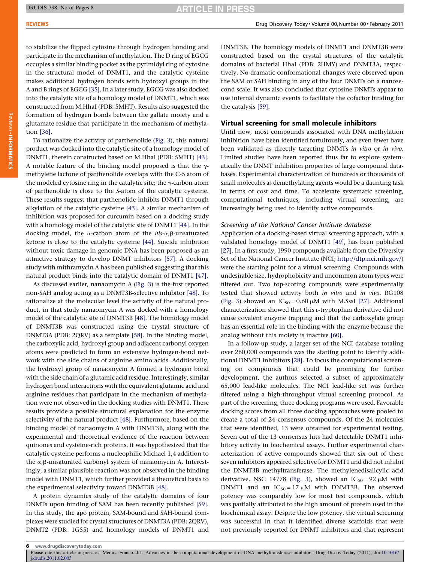**ARTICLE IN PRESS** 

to stabilize the flipped cytosine through hydrogen bonding and participate in the mechanism of methylation. The D ring of EGCG occupies a similar binding pocket as the pyrimidyl ring of cytosine in the structural model of DNMT1, and the catalytic cysteine makes additional hydrogen bonds with hydroxyl groups in the A and B rings of EGCG [\[35\].](#page-7-0) In a later study, EGCG was also docked into the catalytic site of a homology model of DNMT1, which was constructed from M.HhaI (PDB: 5MHT). Results also suggested the formation of hydrogen bonds between the gallate moiety and a glutamate residue that participate in the mechanism of methylation [\[36\]](#page-7-0).

To rationalize the activity of parthenolide [\(Fig. 3\)](#page-2-0), this natural product was docked into the catalytic site of a homology model of DNMT1, therein constructed based on M.HhaI (PDB: 5MHT) [\[43\]](#page-7-0). A notable feature of the binding model proposed is that the  $\gamma$ methylene lactone of parthenolide overlaps with the C-5 atom of the modeled cytosine ring in the catalytic site; the  $\gamma$ -carbon atom of parthenolide is close to the S-atom of the catalytic cysteine. These results suggest that parthenolide inhibits DNMT1 through alkylation of the catalytic cysteine [\[43\]](#page-7-0). A similar mechanism of inhibition was proposed for curcumin based on a docking study with a homology model of the catalytic site of DNMT1 [\[44\].](#page-7-0) In the docking model, the  $\alpha$ -carbon atom of the bis- $\alpha$ , $\beta$ -unsaturated ketone is close to the catalytic cysteine [\[44\].](#page-7-0) Suicide inhibition without toxic damage in genomic DNA has been proposed as an attractive strategy to develop DNMT inhibitors [\[57\]](#page-7-0). A docking study with mithramycin A has been published suggesting that this natural product binds into the catalytic domain of DNMT1 [\[47\].](#page-7-0)

As discussed earlier, nanaomycin A ([Fig. 3\)](#page-2-0) is the first reported non-SAH analog acting as a DNMT3B-selective inhibitor [\[48\]](#page-7-0). To rationalize at the molecular level the activity of the natural product, in that study nanaomycin A was docked with a homology model of the catalytic site of DNMT3B [\[48\]](#page-7-0). The homology model of DNMT3B was constructed using the crystal structure of DNMT3A (PDB: 2QRV) as a template [\[58\]](#page-7-0). In the binding model, the carboxylic acid, hydroxyl group and adjacent carbonyl oxygen atoms were predicted to form an extensive hydrogen-bond network with the side chains of arginine amino acids. Additionally, the hydroxyl group of nanaomycin A formed a hydrogen bond with the side chain of a glutamic acid residue. Interestingly, similar hydrogen bond interactions with the equivalent glutamic acid and arginine residues that participate in the mechanism of methylation were not observed in the docking studies with DNMT1. These results provide a possible structural explanation for the enzyme selectivity of the natural product [\[48\].](#page-7-0) Furthermore, based on the binding model of nanaomycin A with DNMT3B, along with the experimental and theoretical evidence of the reaction between quinones and cysteine-rich proteins, it was hypothesized that the catalytic cysteine performs a nucleophilic Michael 1,4 addition to the  $\alpha$ , $\beta$ -unsaturated carbonyl system of nanaomycin A. Interestingly, a similar plausible reaction was not observed in the binding model with DNMT1, which further provided a theoretical basis to the experimental selectivity toward DNMT3B [\[48\].](#page-7-0)

A protein dynamics study of the catalytic domains of four DNMTs upon binding of SAM has been recently published [\[59\]](#page-7-0). In this study, the apo protein, SAM-bound and SAH-bound complexes were studied for crystal structures of DNMT3A (PDB: 2QRV), DNMT2 (PDB: 1G55) and homology models of DNMT1 and

DNMT3B. The homology models of DNMT1 and DNMT3B were constructed based on the crystal structures of the catalytic domains of bacterial HhaI (PDB: 2HMY) and DNMT3A, respectively. No dramatic conformational changes were observed upon the SAM or SAH binding in any of the four DNMTs on a nanosecond scale. It was also concluded that cytosine DNMTs appear to use internal dynamic events to facilitate the cofactor binding for the catalysis [\[59\].](#page-7-0)

### Virtual screening for small molecule inhibitors

Until now, most compounds associated with DNA methylation inhibition have been identified fortuitously, and even fewer have been validated as directly targeting DNMTs in vitro or in vivo. Limited studies have been reported thus far to explore systematically the DNMT inhibition properties of large compound databases. Experimental characterization of hundreds or thousands of small molecules as demethylating agents would be a daunting task in terms of cost and time. To accelerate systematic screening, computational techniques, including virtual screening, are increasingly being used to identify active compounds.

#### Screening of the National Cancer Institute database

Application of a docking-based virtual screening approach, with a validated homology model of DNMT1 [\[49\],](#page-7-0) has been published [\[27\]](#page-7-0). In a first study, 1990 compounds available from the Diversity Set of the National Cancer Institute (NCI; [http://dtp.nci.nih.gov/\)](http://dtp.nci.nih.gov/) were the starting point for a virtual screening. Compounds with undesirable size, hydrophobicity and uncommon atom types were filtered out. Two top-scoring compounds were experimentally tested that showed activity both in vitro and in vivo. RG108 ([Fig. 3\)](#page-2-0) showed an  $IC_{50} = 0.60 \mu M$  with M.SssI [\[27\]](#page-7-0). Additional characterization showed that this L-tryptophan derivative did not cause covalent enzyme trapping and that the carboxylate group has an essential role in the binding with the enzyme because the analog without this moiety is inactive [\[60\]](#page-7-0).

In a follow-up study, a larger set of the NCI database totaling over 260,000 compounds was the starting point to identify additional DNMT1 inhibitors [\[28\]](#page-7-0). To focus the computational screening on compounds that could be promising for further development, the authors selected a subset of approximately 65,000 lead-like molecules. The NCI lead-like set was further filtered using a high-throughput virtual screening protocol. As part of the screening, three docking programs were used. Favorable docking scores from all three docking approaches were pooled to create a total of 24 consensus compounds. Of the 24 molecules that were identified, 13 were obtained for experimental testing. Seven out of the 13 consensus hits had detectable DNMT1 inhibitory activity in biochemical assays. Further experimental characterization of active compounds showed that six out of these seven inhibitors appeared selective for DNMT1 and did not inhibit the DNMT3B methyltransferase. The methylenedisalicylic acid derivative, NSC 14778 [\(Fig. 3\)](#page-2-0), showed an  $IC_{50} = 92 \mu M$  with DNMT1 and an  $IC_{50} = 17 \mu M$  with DNMT3B. The observed potency was comparably low for most test compounds, which was partially attributed to the high amount of protein used in the biochemical assay. Despite the low potency, the virtual screening was successful in that it identified diverse scaffolds that were not previously reported for DNMT inhibitors and that represent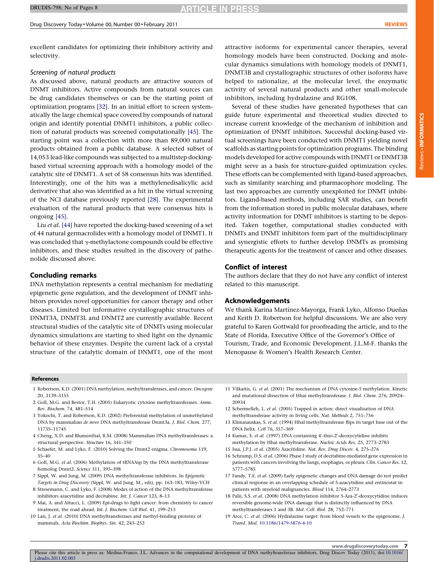<span id="page-6-0"></span>excellent candidates for optimizing their inhibitory activity and selectivity.

#### Screening of natural products

As discussed above, natural products are attractive sources of DNMT inhibitors. Active compounds from natural sources can be drug candidates themselves or can be the starting point of optimization programs [\[32\].](#page-7-0) In an initial effort to screen systematically the large chemical space covered by compounds of natural origin and identify potential DNMT1 inhibitors, a public collection of natural products was screened computationally [\[45\]](#page-7-0). The starting point was a collection with more than 89,000 natural products obtained from a public database. A selected subset of 14,053 lead-like compounds was subjected to a multistep dockingbased virtual screening approach with a homology model of the catalytic site of DNMT1. A set of 58 consensus hits was identified. Interestingly, one of the hits was a methylenedisalicylic acid derivative that also was identified as a hit in the virtual screening of the NCI database previously reported [\[28\].](#page-7-0) The experimental evaluation of the natural products that were consensus hits is ongoing [\[45\].](#page-7-0)

Liu et al. [\[44\]](#page-7-0) have reported the docking-based screening of a set of 44 natural germacrolides with a homology model of DNMT1. It was concluded that  $\gamma$ -methylactone compounds could be effective inhibitors, and these studies resulted in the discovery of pathenolide discussed above.

#### Concluding remarks

DNA methylation represents a central mechanism for mediating epigenetic gene regulation, and the development of DNMT inhibitors provides novel opportunities for cancer therapy and other diseases. Limited but informative crystallographic structures of DNMT3A, DNMT3L and DNMT2 are currently available. Recent structural studies of the catalytic site of DNMTs using molecular dynamics simulations are starting to shed light on the dynamic behavior of these enzymes. Despite the current lack of a crystal structure of the catalytic domain of DNMT1, one of the most

attractive isoforms for experimental cancer therapies, several homology models have been constructed. Docking and molecular dynamics simulations with homology models of DNMT1, DNMT3B and crystallographic structures of other isoforms have helped to rationalize, at the molecular level, the enzymatic activity of several natural products and other small-molecule inhibitors, including hydralazine and RG108.

Several of these studies have generated hypotheses that can guide future experimental and theoretical studies directed to increase current knowledge of the mechanism of inhibition and optimization of DNMT inhibitors. Successful docking-based virtual screenings have been conducted with DNMT1 yielding novel scaffolds as starting points for optimization programs. The binding models developed for active compounds with DNMT1 or DNMT3B might serve as a basis for structure-guided optimization cycles. These efforts can be complemented with ligand-based approaches, such as similarity searching and pharmacophore modeling. The last two approaches are currently unexploited for DNMT inhibitors. Ligand-based methods, including SAR studies, can benefit from the information stored in public molecular databases, where activity information for DNMT inhibitors is starting to be deposited. Taken together, computational studies conducted with DNMTs and DNMT inhibitors form part of the multidisciplinary and synergistic efforts to further develop DNMTs as promising therapeutic agents for the treatment of cancer and other diseases.

#### Conflict of interest

The authors declare that they do not have any conflict of interest related to this manuscript.

#### Acknowledgements

We thank Karina Martínez-Mayorga, Frank Lyko, Alfonso Dueñas and Keith D. Robertson for helpful discussions. We are also very grateful to Karen Gottwald for proofreading the article, and to the State of Florida, Executive Office of the Governor's Office of Tourism, Trade, and Economic Development. J.L.M-F. thanks the Menopause & Women's Health Research Center.

#### References

- 1 Robertson, K.D. (2001) DNA methylation, methyltransferases, and cancer. Oncogene 20, 3139–3155
- 2 Goll, M.G. and Bestor, T.H. (2005) Eukaryotic cytosine methyltransferases. Annu. Rev. Biochem. 74, 481–514
- 3 Yokochi, T. and Robertson, K.D. (2002) Preferential methylation of unmethylated DNA by mammalian de novo DNA methyltransferase Dnmt3a. J. Biol. Chem. 277, 11735–11745
- 4 Cheng, X.D. and Blumenthal, R.M. (2008) Mammalian DNA methyltransferases: a structural perspective. Structure 16, 341–350
- 5 Schaefer, M. and Lyko, F. (2010) Solving the Dnmt2 enigma. Chromosoma 119, 35–40
- 6 Goll, M.G. et al. (2006) Methylation of tRNAAsp by the DNA methyltransferase homolog Dnmt2. Science 311, 395–398
- 7 Sippl, W. and Jung, M. (2009) DNA methyltransferase inhibitors. In Epigenetic Targets in Drug Discovery (Sippl, W. and Jung, M., eds), pp. 163–183, Wiley-VCH
- 8 Stresemann, C. and Lyko, F. (2008) Modes of action of the DNA methyltransferase inhibitors azacytidine and decitabine. Int. J. Cancer 123, 8–13
- 9 Mai, A. and Altucci, L. (2009) Epi-drugs to fight cancer: from chemistry to cancer treatment, the road ahead. Int. J. Biochem. Cell Biol. 41, 199–213
- 10 Lan, J. et al. (2010) DNA methyltransferases and methyl-binding proteins of mammals. Acta Biochim. Biophys. Sin. 42, 243–252
- 11 Vilkaitis, G. et al. (2001) The mechanism of DNA cytosine-5 methylation. Kinetic and mutational dissection of Hhai methyltransferase. J. Biol. Chem. 276, 20924– 20934
- 12 Schermelleh, L. et al. (2005) Trapped in action: direct visualization of DNA methyltransferase activity in living cells. Nat. Methods 2, 751–756
- 13 Klimasauskas, S. et al. (1994) Hhal methyltransferase flips its target base out of the DNA helix. Cell 76, 357–369
- 14 Kumar, S. et al. (1997) DNA containing 4'-thio-2'-deoxycytidine inhibits methylation by Hhai methyltransferase. Nucleic Acids Res. 25, 2773–2783
- 15 Issa, J.P.J. et al. (2005) Azacitidine. Nat. Rev. Drug Discov. 4, 275–276
- 16 Schrump, D.S. et al. (2006) Phase I study of decitabine-mediated gene expression in patients with cancers involving the lungs, esophagus, or pleura. Clin. Cancer Res. 12, 5777–5785
- 17 Fandy, T.E. et al. (2009) Early epigenetic changes and DNA damage do not predict clinical response in an overlapping schedule of 5-azacytidine and entinostat in patients with myeloid malignancies. Blood 114, 2764–2773
- 18 Palii, S.S. et al. (2008) DNA methylation inhibitor 5-Aza-2'-deoxycytidine induces reversible genome-wide DNA damage that is distinctly influenced by DNA methyltransferases 1 and 3B. Mol. Cell. Biol. 28, 752–771
- 19 Arce, C. et al. (2006) Hydralazine target: from blood vessels to the epigenome. J. Transl. Med. [10.1186/1479-5876-4-10](http://dx.doi.org/10.1186/1479-5876-4-10)